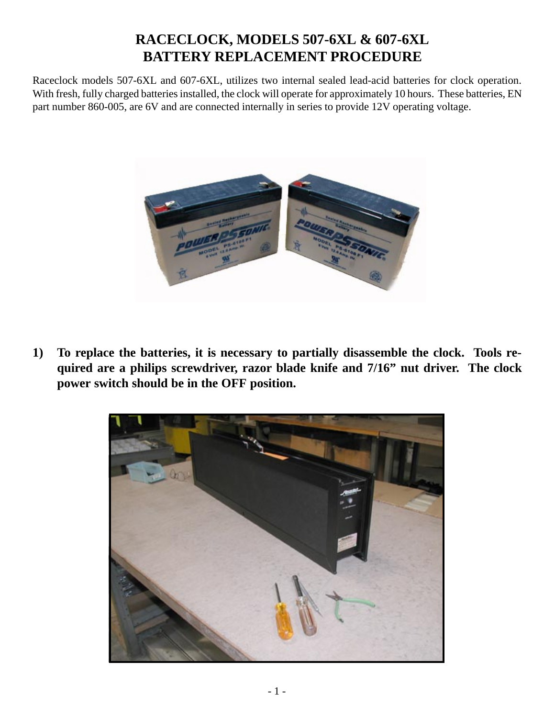## **RACECLOCK, MODELS 507-6XL & 607-6XL BATTERY REPLACEMENT PROCEDURE**

Raceclock models 507-6XL and 607-6XL, utilizes two internal sealed lead-acid batteries for clock operation. With fresh, fully charged batteries installed, the clock will operate for approximately 10 hours. These batteries, EN part number 860-005, are 6V and are connected internally in series to provide 12V operating voltage.



**1) To replace the batteries, it is necessary to partially disassemble the clock. Tools required are a philips screwdriver, razor blade knife and 7/16" nut driver. The clock power switch should be in the OFF position.**

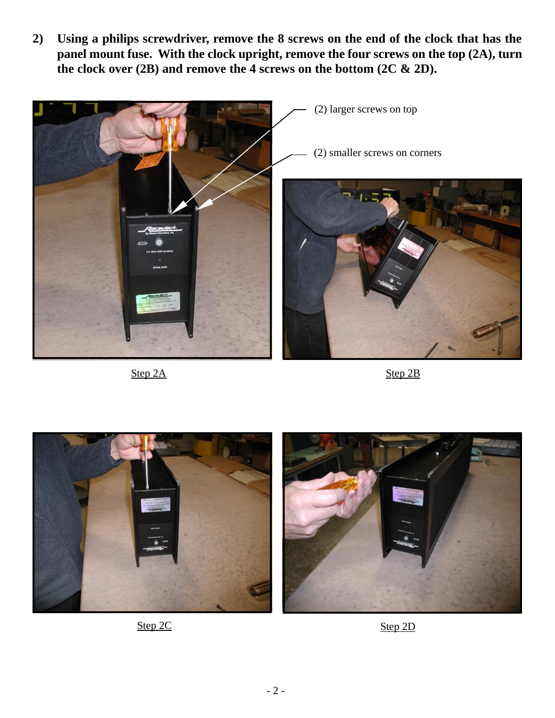**2) Using a philips screwdriver, remove the 8 screws on the end of the clock that has the panel mount fuse. With the clock upright, remove the four screws on the top (2A), turn the clock over (2B) and remove the 4 screws on the bottom (2C & 2D).**



Step 2A Step 2B





Step 2C Step 2D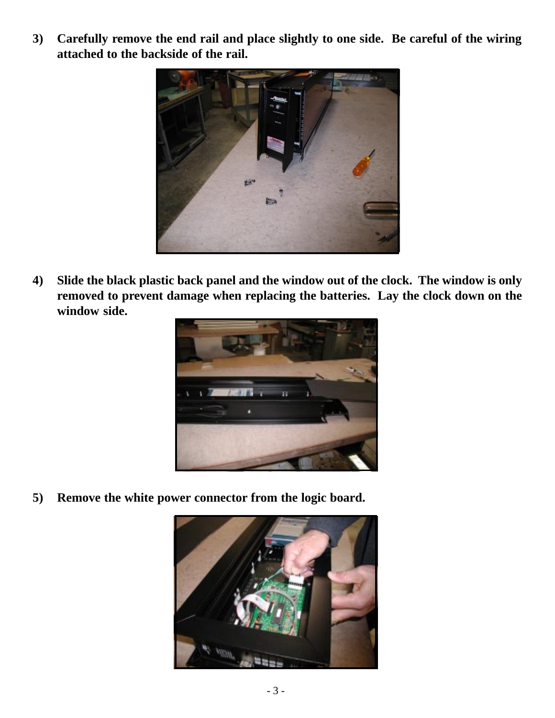**3) Carefully remove the end rail and place slightly to one side. Be careful of the wiring attached to the backside of the rail.**



**4) Slide the black plastic back panel and the window out of the clock. The window is only removed to prevent damage when replacing the batteries. Lay the clock down on the window side.**



**5) Remove the white power connector from the logic board.**

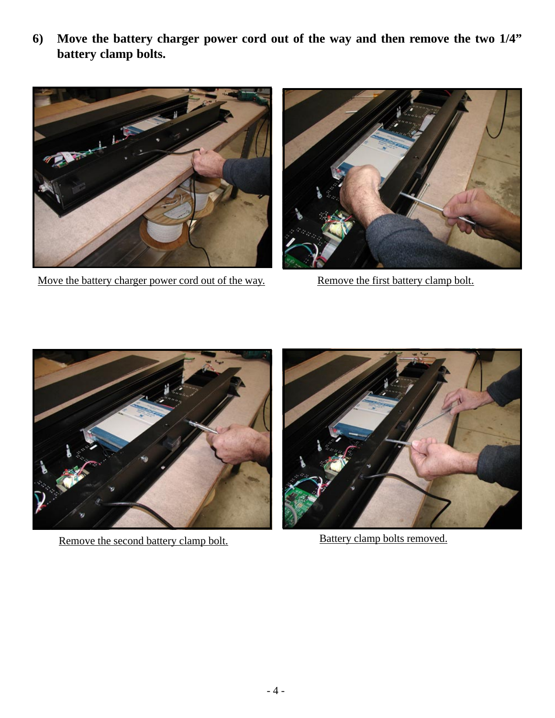**6) Move the battery charger power cord out of the way and then remove the two 1/4" battery clamp bolts.**



Move the battery charger power cord out of the way. Remove the first battery clamp bolt.





Remove the second battery clamp bolt. Battery clamp bolts removed.

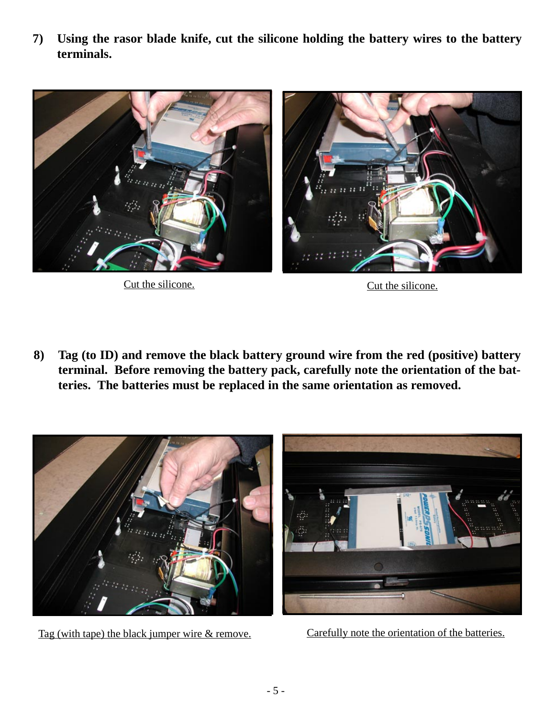**7) Using the rasor blade knife, cut the silicone holding the battery wires to the battery terminals.**



Cut the silicone. Cut the silicone.

**8) Tag (to ID) and remove the black battery ground wire from the red (positive) battery terminal. Before removing the battery pack, carefully note the orientation of the batteries. The batteries must be replaced in the same orientation as removed.**



Tag (with tape) the black jumper wire & remove.

Carefully note the orientation of the batteries.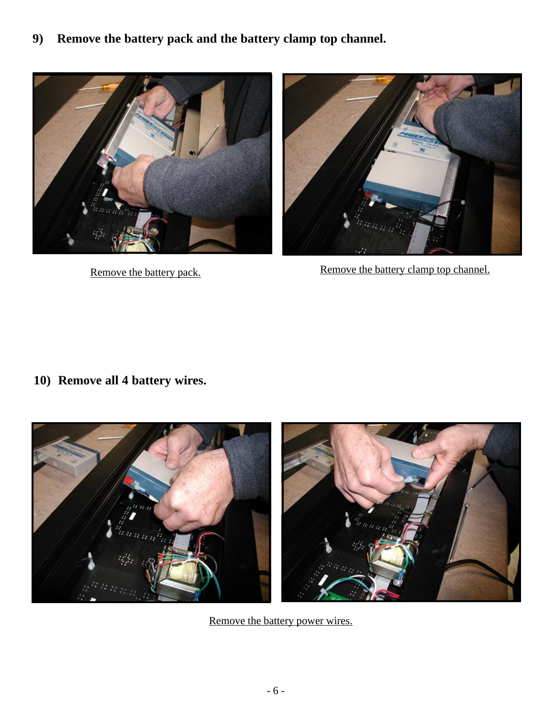**9) Remove the battery pack and the battery clamp top channel.**





Remove the battery pack. Remove the battery clamp top channel.

**10) Remove all 4 battery wires.**



Remove the battery power wires.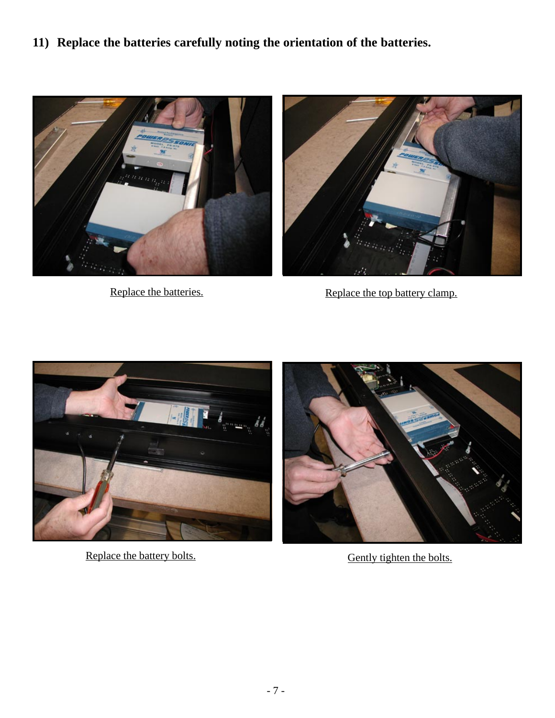**11) Replace the batteries carefully noting the orientation of the batteries.**





Replace the batteries.<br>Replace the top battery clamp.



Replace the battery bolts. Gently tighten the bolts.

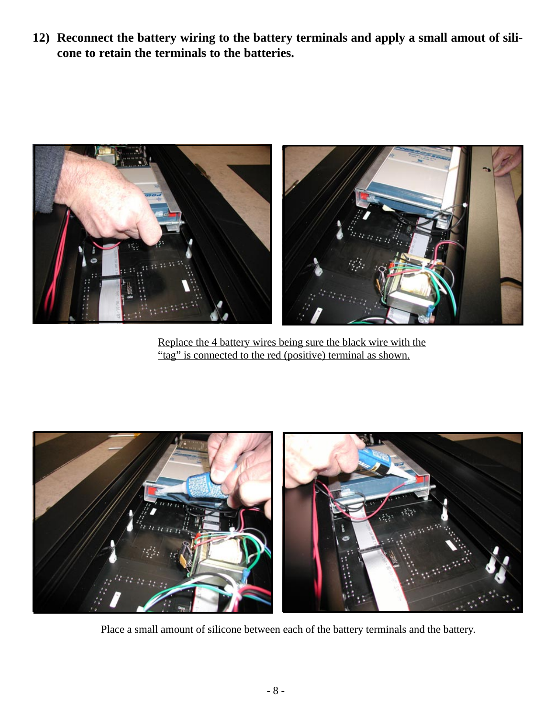**12) Reconnect the battery wiring to the battery terminals and apply a small amout of silicone to retain the terminals to the batteries.**



Replace the 4 battery wires being sure the black wire with the "tag" is connected to the red (positive) terminal as shown.



Place a small amount of silicone between each of the battery terminals and the battery.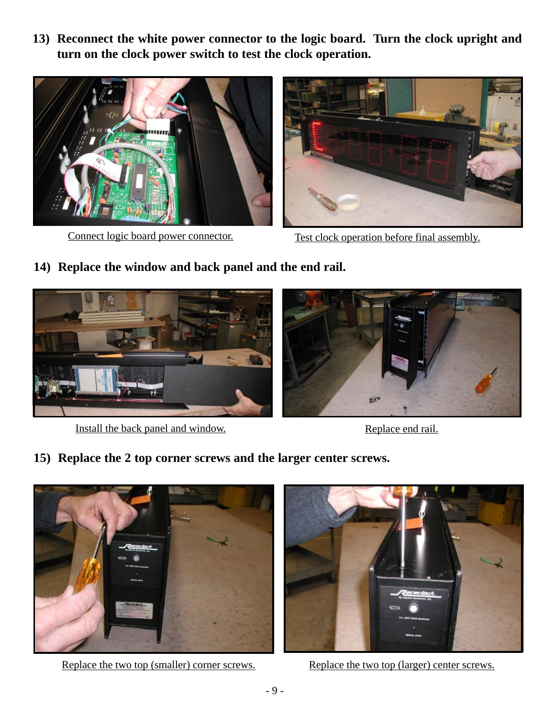**13) Reconnect the white power connector to the logic board. Turn the clock upright and turn on the clock power switch to test the clock operation.**





Connect logic board power connector. Test clock operation before final assembly.

**14) Replace the window and back panel and the end rail.**



Install the back panel and window. Replace end rail.

**15) Replace the 2 top corner screws and the larger center screws.**



Replace the two top (smaller) corner screws.



Replace the two top (larger) center screws.